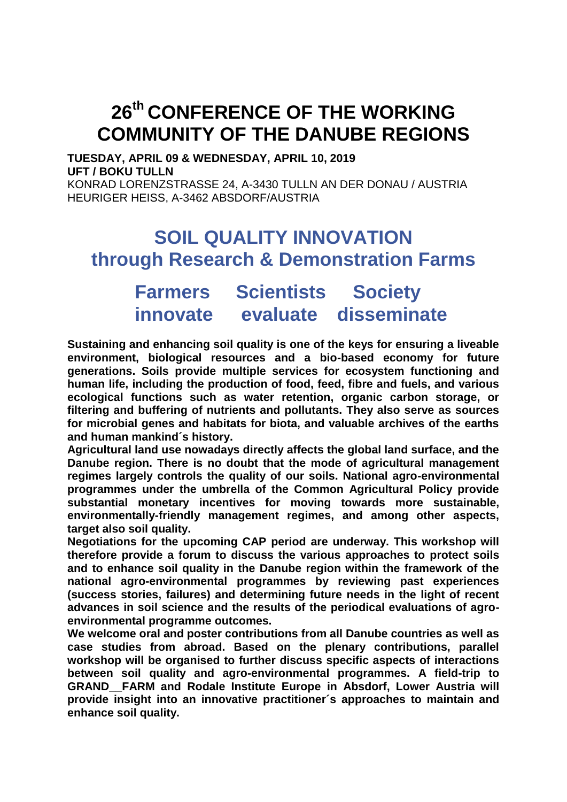# **26th CONFERENCE OF THE WORKING COMMUNITY OF THE DANUBE REGIONS**

**TUESDAY, APRIL 09 & WEDNESDAY, APRIL 10, 2019 UFT / BOKU TULLN**

KONRAD LORENZSTRASSE 24, A-3430 TULLN AN DER DONAU / AUSTRIA HEURIGER HEISS, A-3462 ABSDORF/AUSTRIA

## **SOIL QUALITY INNOVATION through Research & Demonstration Farms**

## **Farmers Scientists Society innovate evaluate disseminate**

**Sustaining and enhancing soil quality is one of the keys for ensuring a liveable environment, biological resources and a bio-based economy for future generations. Soils provide multiple services for ecosystem functioning and human life, including the production of food, feed, fibre and fuels, and various ecological functions such as water retention, organic carbon storage, or filtering and buffering of nutrients and pollutants. They also serve as sources for microbial genes and habitats for biota, and valuable archives of the earths and human mankind´s history.**

**Agricultural land use nowadays directly affects the global land surface, and the Danube region. There is no doubt that the mode of agricultural management regimes largely controls the quality of our soils. National agro-environmental programmes under the umbrella of the Common Agricultural Policy provide substantial monetary incentives for moving towards more sustainable, environmentally-friendly management regimes, and among other aspects, target also soil quality.**

**Negotiations for the upcoming CAP period are underway. This workshop will therefore provide a forum to discuss the various approaches to protect soils and to enhance soil quality in the Danube region within the framework of the national agro-environmental programmes by reviewing past experiences (success stories, failures) and determining future needs in the light of recent advances in soil science and the results of the periodical evaluations of agroenvironmental programme outcomes.**

**We welcome oral and poster contributions from all Danube countries as well as case studies from abroad. Based on the plenary contributions, parallel workshop will be organised to further discuss specific aspects of interactions between soil quality and agro-environmental programmes. A field-trip to GRAND\_\_FARM and Rodale Institute Europe in Absdorf, Lower Austria will provide insight into an innovative practitioner´s approaches to maintain and enhance soil quality.**